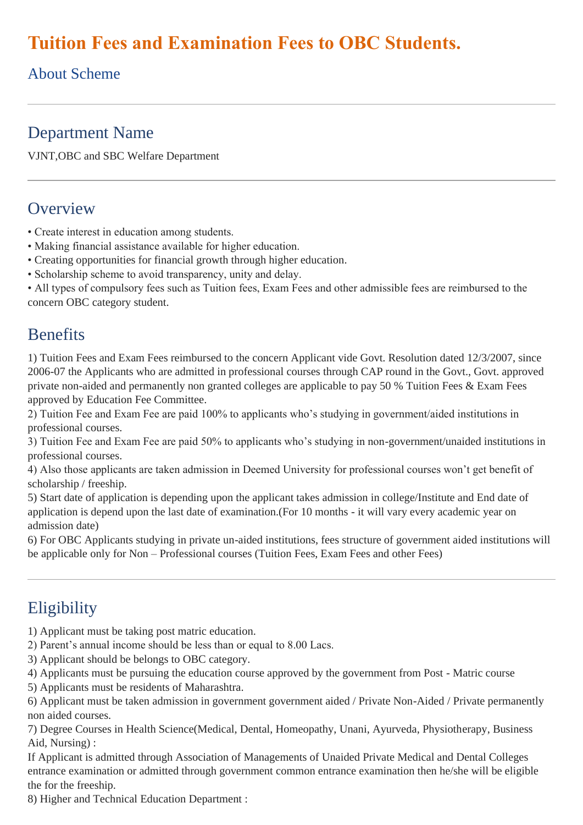# **Tuition Fees and Examination Fees to OBC Students.**

#### About Scheme

#### Department Name

VJNT,OBC and SBC Welfare Department

#### **Overview**

- Create interest in education among students.
- Making financial assistance available for higher education.
- Creating opportunities for financial growth through higher education.
- Scholarship scheme to avoid transparency, unity and delay.

• All types of compulsory fees such as Tuition fees, Exam Fees and other admissible fees are reimbursed to the concern OBC category student.

#### **Benefits**

1) Tuition Fees and Exam Fees reimbursed to the concern Applicant vide Govt. Resolution dated 12/3/2007, since 2006-07 the Applicants who are admitted in professional courses through CAP round in the Govt., Govt. approved private non-aided and permanently non granted colleges are applicable to pay 50 % Tuition Fees & Exam Fees approved by Education Fee Committee.

2) Tuition Fee and Exam Fee are paid 100% to applicants who's studying in government/aided institutions in professional courses.

3) Tuition Fee and Exam Fee are paid 50% to applicants who's studying in non-government/unaided institutions in professional courses.

4) Also those applicants are taken admission in Deemed University for professional courses won't get benefit of scholarship / freeship.

5) Start date of application is depending upon the applicant takes admission in college/Institute and End date of application is depend upon the last date of examination.(For 10 months - it will vary every academic year on admission date)

6) For OBC Applicants studying in private un-aided institutions, fees structure of government aided institutions will be applicable only for Non – Professional courses (Tuition Fees, Exam Fees and other Fees)

## **Eligibility**

- 1) Applicant must be taking post matric education.
- 2) Parent's annual income should be less than or equal to 8.00 Lacs.
- 3) Applicant should be belongs to OBC category.
- 4) Applicants must be pursuing the education course approved by the government from Post Matric course
- 5) Applicants must be residents of Maharashtra.

6) Applicant must be taken admission in government government aided / Private Non-Aided / Private permanently non aided courses.

7) Degree Courses in Health Science(Medical, Dental, Homeopathy, Unani, Ayurveda, Physiotherapy, Business Aid, Nursing) :

If Applicant is admitted through Association of Managements of Unaided Private Medical and Dental Colleges entrance examination or admitted through government common entrance examination then he/she will be eligible the for the freeship.

8) Higher and Technical Education Department :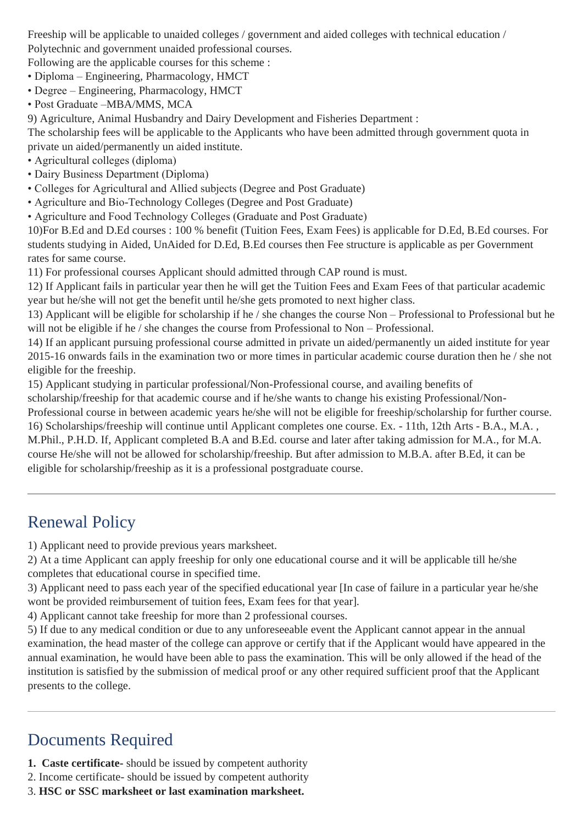Freeship will be applicable to unaided colleges / government and aided colleges with technical education / Polytechnic and government unaided professional courses.

Following are the applicable courses for this scheme :

- Diploma Engineering, Pharmacology, HMCT
- Degree Engineering, Pharmacology, HMCT
- Post Graduate –MBA/MMS, MCA

9) Agriculture, Animal Husbandry and Dairy Development and Fisheries Department :

The scholarship fees will be applicable to the Applicants who have been admitted through government quota in private un aided/permanently un aided institute.

- Agricultural colleges (diploma)
- Dairy Business Department (Diploma)
- Colleges for Agricultural and Allied subjects (Degree and Post Graduate)
- Agriculture and Bio-Technology Colleges (Degree and Post Graduate)
- Agriculture and Food Technology Colleges (Graduate and Post Graduate)

10)For B.Ed and D.Ed courses : 100 % benefit (Tuition Fees, Exam Fees) is applicable for D.Ed, B.Ed courses. For students studying in Aided, UnAided for D.Ed, B.Ed courses then Fee structure is applicable as per Government rates for same course.

11) For professional courses Applicant should admitted through CAP round is must.

12) If Applicant fails in particular year then he will get the Tuition Fees and Exam Fees of that particular academic year but he/she will not get the benefit until he/she gets promoted to next higher class.

13) Applicant will be eligible for scholarship if he / she changes the course Non – Professional to Professional but he will not be eligible if he / she changes the course from Professional to Non – Professional.

14) If an applicant pursuing professional course admitted in private un aided/permanently un aided institute for year 2015-16 onwards fails in the examination two or more times in particular academic course duration then he / she not eligible for the freeship.

15) Applicant studying in particular professional/Non-Professional course, and availing benefits of

scholarship/freeship for that academic course and if he/she wants to change his existing Professional/Non-

Professional course in between academic years he/she will not be eligible for freeship/scholarship for further course. 16) Scholarships/freeship will continue until Applicant completes one course. Ex. - 11th, 12th Arts - B.A., M.A. , M.Phil., P.H.D. If, Applicant completed B.A and B.Ed. course and later after taking admission for M.A., for M.A. course He/she will not be allowed for scholarship/freeship. But after admission to M.B.A. after B.Ed, it can be eligible for scholarship/freeship as it is a professional postgraduate course.

### Renewal Policy

1) Applicant need to provide previous years marksheet.

2) At a time Applicant can apply freeship for only one educational course and it will be applicable till he/she completes that educational course in specified time.

3) Applicant need to pass each year of the specified educational year [In case of failure in a particular year he/she wont be provided reimbursement of tuition fees, Exam fees for that year].

4) Applicant cannot take freeship for more than 2 professional courses.

5) If due to any medical condition or due to any unforeseeable event the Applicant cannot appear in the annual examination, the head master of the college can approve or certify that if the Applicant would have appeared in the annual examination, he would have been able to pass the examination. This will be only allowed if the head of the institution is satisfied by the submission of medical proof or any other required sufficient proof that the Applicant presents to the college.

## Documents Required

- **1. Caste certificate-** should be issued by competent authority
- 2. Income certificate- should be issued by competent authority
- 3. **HSC or SSC marksheet or last examination marksheet.**